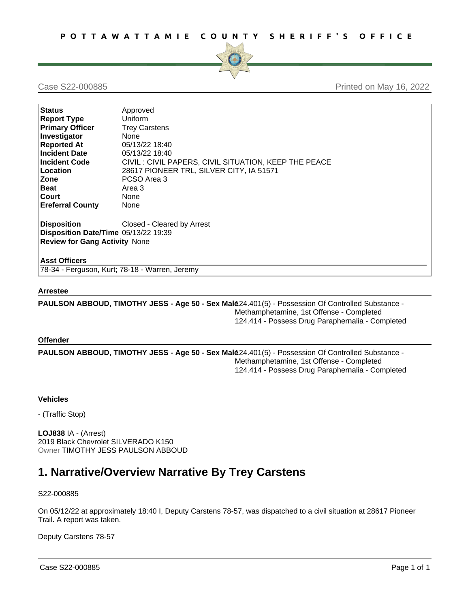

Case S22-000885 Printed on May 16, 2022

| <b>Status</b>                        | Approved                                             |  |  |  |  |  |
|--------------------------------------|------------------------------------------------------|--|--|--|--|--|
| <b>Report Type</b>                   | Uniform                                              |  |  |  |  |  |
| <b>Primary Officer</b>               | <b>Trey Carstens</b>                                 |  |  |  |  |  |
| Investigator                         | <b>None</b>                                          |  |  |  |  |  |
| <b>Reported At</b>                   | 05/13/22 18:40                                       |  |  |  |  |  |
| <b>Incident Date</b>                 | 05/13/22 18:40                                       |  |  |  |  |  |
| <b>Incident Code</b>                 | CIVIL: CIVIL PAPERS, CIVIL SITUATION, KEEP THE PEACE |  |  |  |  |  |
| Location                             | 28617 PIONEER TRL, SILVER CITY, IA 51571             |  |  |  |  |  |
| Zone                                 | PCSO Area 3                                          |  |  |  |  |  |
| <b>Beat</b>                          | Area 3                                               |  |  |  |  |  |
| Court                                | None                                                 |  |  |  |  |  |
| <b>Ereferral County</b>              | None                                                 |  |  |  |  |  |
| <b>Disposition</b>                   | Closed - Cleared by Arrest                           |  |  |  |  |  |
| Disposition Date/Time 05/13/22 19:39 |                                                      |  |  |  |  |  |
| <b>Review for Gang Activity None</b> |                                                      |  |  |  |  |  |
|                                      |                                                      |  |  |  |  |  |
| <b>Asst Officers</b>                 |                                                      |  |  |  |  |  |
|                                      | 78-34 - Ferguson, Kurt; 78-18 - Warren, Jeremy       |  |  |  |  |  |

## **Arrestee**

**PAULSON ABBOUD, TIMOTHY JESS - Age 50 - Sex Male**124.401(5) - Possession Of Controlled Substance - Methamphetamine, 1st Offense - Completed 124.414 - Possess Drug Paraphernalia - Completed

## **Offender**

**PAULSON ABBOUD, TIMOTHY JESS - Age 50 - Sex Male**124.401(5) - Possession Of Controlled Substance - Methamphetamine, 1st Offense - Completed 124.414 - Possess Drug Paraphernalia - Completed

## **Vehicles**

- (Traffic Stop)

**LOJ838** IA - (Arrest) 2019 Black Chevrolet SILVERADO K150 Owner TIMOTHY JESS PAULSON ABBOUD

# **1. Narrative/Overview Narrative By Trey Carstens**

S22-000885

On 05/12/22 at approximately 18:40 I, Deputy Carstens 78-57, was dispatched to a civil situation at 28617 Pioneer Trail. A report was taken.

Deputy Carstens 78-57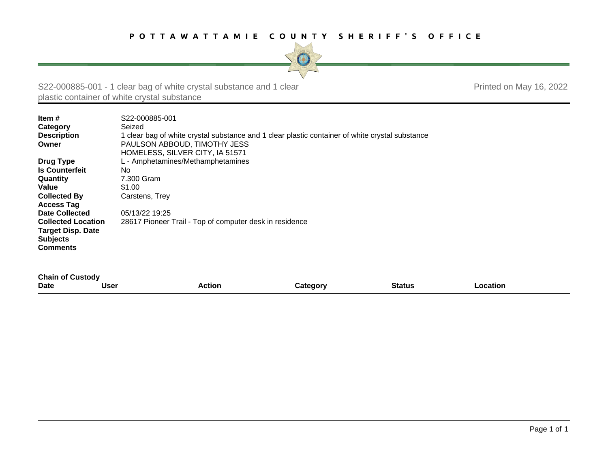

S22-000885-001 - 1 clear bag of white crystal substance and 1 clear plastic container of white crystal substance

Printed on May 16, 2022

| Item $#$<br>Category<br><b>Description</b><br>Owner | S <sub>22</sub> -000885-001<br>Seized<br>1 clear bag of white crystal substance and 1 clear plastic container of white crystal substance<br>PAULSON ABBOUD, TIMOTHY JESS<br>HOMELESS, SILVER CITY, IA 51571 |
|-----------------------------------------------------|-------------------------------------------------------------------------------------------------------------------------------------------------------------------------------------------------------------|
| Drug Type                                           | L - Amphetamines/Methamphetamines                                                                                                                                                                           |
| <b>Is Counterfeit</b>                               | No.                                                                                                                                                                                                         |
| <b>Quantity</b>                                     | 7.300 Gram                                                                                                                                                                                                  |
| <b>Value</b>                                        | \$1.00                                                                                                                                                                                                      |
| <b>Collected By</b>                                 | Carstens, Trey                                                                                                                                                                                              |
| <b>Access Tag</b>                                   |                                                                                                                                                                                                             |
| <b>Date Collected</b>                               | 05/13/22 19:25                                                                                                                                                                                              |
| <b>Collected Location</b>                           | 28617 Pioneer Trail - Top of computer desk in residence                                                                                                                                                     |
| <b>Target Disp. Date</b>                            |                                                                                                                                                                                                             |
| <b>Subjects</b>                                     |                                                                                                                                                                                                             |
| <b>Comments</b>                                     |                                                                                                                                                                                                             |
|                                                     |                                                                                                                                                                                                             |

| <b>Chain of Custody</b> |      |        |          |               |          |
|-------------------------|------|--------|----------|---------------|----------|
| <b>Date</b>             | User | Action | Category | <b>Status</b> | .ocation |